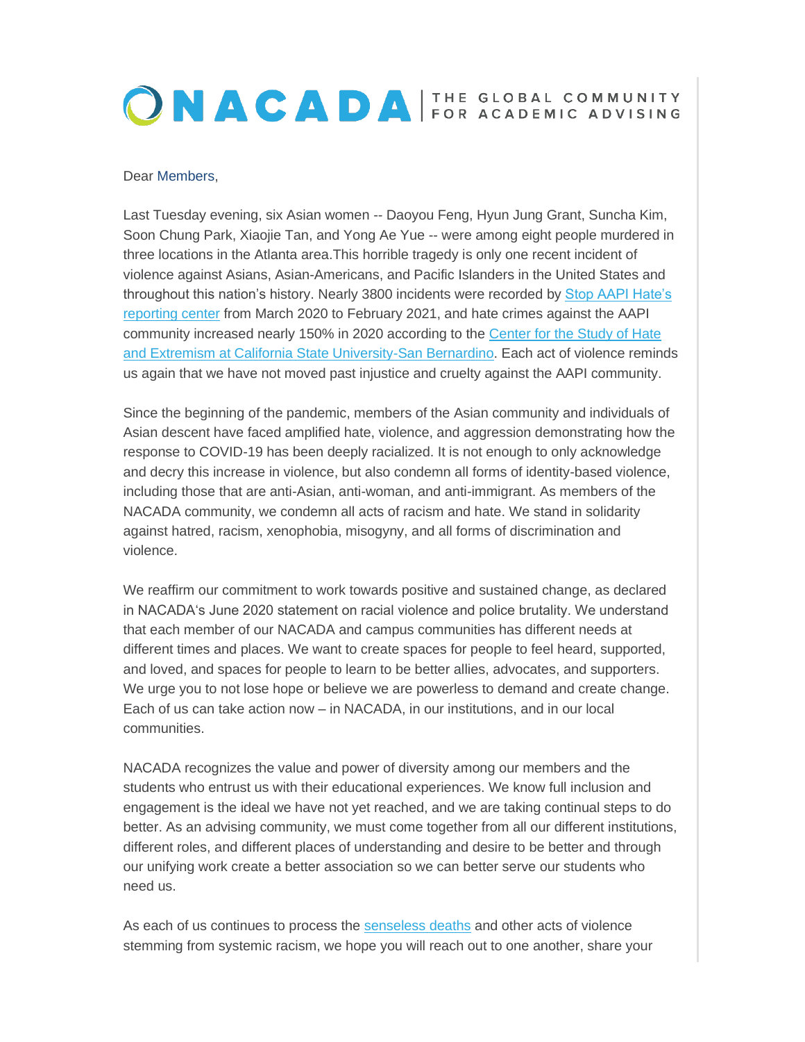## ONACADA FOR ACADEMIC ADVISING

## Dear Members,

Last Tuesday evening, six Asian women -- Daoyou Feng, Hyun Jung Grant, Suncha Kim, Soon Chung Park, Xiaojie Tan, and Yong Ae Yue -- were among eight people murdered in three locations in the Atlanta area.This horrible tragedy is only one recent incident of violence against Asians, Asian-Americans, and Pacific Islanders in the United States and throughout this nation's history. Nearly 3800 incidents were recorded by [Stop AAPI Hate's](https://elink.clickdimensions.com/c/6/?T=MjQxOTk1MTY%3AMDItYjIxMDgxLTJjYmRmZmYyMTEzNDRiZWQ4YjRmMzlkMTJkOWQyNDY0%3AYm1hcnRpbkBrc3UuZWR1%3AY29udGFjdC01ZWE3MzdjMzhlMzhlMjExOGEyNDAwNTA1NjgzMDAwZC1iMjQwMmYzZTM1MjI0NzAyYWJkNDRlNjJhMjE1ZmEwNg%3AZmFsc2U%3AMA%3A%3AaHR0cHM6Ly9zZWN1cmVzZXJ2ZXJjZG4ubmV0LzEwNC4yMzguNjkuMjMxL2Exdy45MGQubXlmdHB1cGxvYWQuY29tL3dwLWNvbnRlbnQvdXBsb2Fkcy8yMDIxLzAzLzIxMDMxMi1TdG9wLUFBUEktSGF0ZS1OYXRpb25hbC1SZXBvcnQtLnBkZj9fY2xkZWU9WW0xaGNuUnBia0JyYzNVdVpXUjEmcmVjaXBpZW50aWQ9Y29udGFjdC01ZWE3MzdjMzhlMzhlMjExOGEyNDAwNTA1NjgzMDAwZC1iMjQwMmYzZTM1MjI0NzAyYWJkNDRlNjJhMjE1ZmEwNiZlc2lkPTIwY2YyOWFmLTExOGItZWIxMS04MGYyLTAwMGQzYTBlZTgyOA&K=11ZpFkm9gJTDVaPqdrok-A)  [reporting center](https://elink.clickdimensions.com/c/6/?T=MjQxOTk1MTY%3AMDItYjIxMDgxLTJjYmRmZmYyMTEzNDRiZWQ4YjRmMzlkMTJkOWQyNDY0%3AYm1hcnRpbkBrc3UuZWR1%3AY29udGFjdC01ZWE3MzdjMzhlMzhlMjExOGEyNDAwNTA1NjgzMDAwZC1iMjQwMmYzZTM1MjI0NzAyYWJkNDRlNjJhMjE1ZmEwNg%3AZmFsc2U%3AMA%3A%3AaHR0cHM6Ly9zZWN1cmVzZXJ2ZXJjZG4ubmV0LzEwNC4yMzguNjkuMjMxL2Exdy45MGQubXlmdHB1cGxvYWQuY29tL3dwLWNvbnRlbnQvdXBsb2Fkcy8yMDIxLzAzLzIxMDMxMi1TdG9wLUFBUEktSGF0ZS1OYXRpb25hbC1SZXBvcnQtLnBkZj9fY2xkZWU9WW0xaGNuUnBia0JyYzNVdVpXUjEmcmVjaXBpZW50aWQ9Y29udGFjdC01ZWE3MzdjMzhlMzhlMjExOGEyNDAwNTA1NjgzMDAwZC1iMjQwMmYzZTM1MjI0NzAyYWJkNDRlNjJhMjE1ZmEwNiZlc2lkPTIwY2YyOWFmLTExOGItZWIxMS04MGYyLTAwMGQzYTBlZTgyOA&K=11ZpFkm9gJTDVaPqdrok-A) from March 2020 to February 2021, and hate crimes against the AAPI community increased nearly 150% in 2020 according to the [Center for the Study of Hate](https://elink.clickdimensions.com/c/6/?T=MjQxOTk1MTY%3AMDItYjIxMDgxLTJjYmRmZmYyMTEzNDRiZWQ4YjRmMzlkMTJkOWQyNDY0%3AYm1hcnRpbkBrc3UuZWR1%3AY29udGFjdC01ZWE3MzdjMzhlMzhlMjExOGEyNDAwNTA1NjgzMDAwZC1iMjQwMmYzZTM1MjI0NzAyYWJkNDRlNjJhMjE1ZmEwNg%3AZmFsc2U%3AMQ%3A%3AaHR0cHM6Ly93d3cuY3N1c2IuZWR1L3NpdGVzL2RlZmF1bHQvZmlsZXMvRkFDVCUyMFNIRUVULSUyMEFudGktQXNpYW4lMjBIYXRlJTIwMjAyMCUyMDMuMi4yMS5wZGY_X2NsZGVlPVltMWhjblJwYmtCcmMzVXVaV1IxJnJlY2lwaWVudGlkPWNvbnRhY3QtNWVhNzM3YzM4ZTM4ZTIxMThhMjQwMDUwNTY4MzAwMGQtYjI0MDJmM2UzNTIyNDcwMmFiZDQ0ZTYyYTIxNWZhMDYmZXNpZD0yMGNmMjlhZi0xMThiLWViMTEtODBmMi0wMDBkM2EwZWU4Mjg&K=9sL1bTlnVKM1DjFaDZj6Lw)  [and Extremism at California State University-San Bernardino.](https://elink.clickdimensions.com/c/6/?T=MjQxOTk1MTY%3AMDItYjIxMDgxLTJjYmRmZmYyMTEzNDRiZWQ4YjRmMzlkMTJkOWQyNDY0%3AYm1hcnRpbkBrc3UuZWR1%3AY29udGFjdC01ZWE3MzdjMzhlMzhlMjExOGEyNDAwNTA1NjgzMDAwZC1iMjQwMmYzZTM1MjI0NzAyYWJkNDRlNjJhMjE1ZmEwNg%3AZmFsc2U%3AMQ%3A%3AaHR0cHM6Ly93d3cuY3N1c2IuZWR1L3NpdGVzL2RlZmF1bHQvZmlsZXMvRkFDVCUyMFNIRUVULSUyMEFudGktQXNpYW4lMjBIYXRlJTIwMjAyMCUyMDMuMi4yMS5wZGY_X2NsZGVlPVltMWhjblJwYmtCcmMzVXVaV1IxJnJlY2lwaWVudGlkPWNvbnRhY3QtNWVhNzM3YzM4ZTM4ZTIxMThhMjQwMDUwNTY4MzAwMGQtYjI0MDJmM2UzNTIyNDcwMmFiZDQ0ZTYyYTIxNWZhMDYmZXNpZD0yMGNmMjlhZi0xMThiLWViMTEtODBmMi0wMDBkM2EwZWU4Mjg&K=9sL1bTlnVKM1DjFaDZj6Lw) Each act of violence reminds us again that we have not moved past injustice and cruelty against the AAPI community.

Since the beginning of the pandemic, members of the Asian community and individuals of Asian descent have faced amplified hate, violence, and aggression demonstrating how the response to COVID-19 has been deeply racialized. It is not enough to only acknowledge and decry this increase in violence, but also condemn all forms of identity-based violence, including those that are anti-Asian, anti-woman, and anti-immigrant. As members of the NACADA community, we condemn all acts of racism and hate. We stand in solidarity against hatred, racism, xenophobia, misogyny, and all forms of discrimination and violence.

We reaffirm our commitment to work towards positive and sustained change, as declared in NACADAʻs June 2020 statement on racial violence and police brutality. We understand that each member of our NACADA and campus communities has different needs at different times and places. We want to create spaces for people to feel heard, supported, and loved, and spaces for people to learn to be better allies, advocates, and supporters. We urge you to not lose hope or believe we are powerless to demand and create change. Each of us can take action now – in NACADA, in our institutions, and in our local communities.

NACADA recognizes the value and power of diversity among our members and the students who entrust us with their educational experiences. We know full inclusion and engagement is the ideal we have not yet reached, and we are taking continual steps to do better. As an advising community, we must come together from all our different institutions, different roles, and different places of understanding and desire to be better and through our unifying work create a better association so we can better serve our students who need us.

As each of us continues to process the [senseless deaths](https://elink.clickdimensions.com/c/6/?T=MjQxOTk1MTY%3AMDItYjIxMDgxLTJjYmRmZmYyMTEzNDRiZWQ4YjRmMzlkMTJkOWQyNDY0%3AYm1hcnRpbkBrc3UuZWR1%3AY29udGFjdC01ZWE3MzdjMzhlMzhlMjExOGEyNDAwNTA1NjgzMDAwZC1iMjQwMmYzZTM1MjI0NzAyYWJkNDRlNjJhMjE1ZmEwNg%3AZmFsc2U%3AMg%3A%3AaHR0cHM6Ly9pbnRlcmFjdGl2ZS5hbGphemVlcmEuY29tL2FqZS8yMDIwL2tub3ctdGhlaXItbmFtZXMvaW5kZXguaHRtbD9fY2xkZWU9WW0xaGNuUnBia0JyYzNVdVpXUjEmcmVjaXBpZW50aWQ9Y29udGFjdC01ZWE3MzdjMzhlMzhlMjExOGEyNDAwNTA1NjgzMDAwZC1iMjQwMmYzZTM1MjI0NzAyYWJkNDRlNjJhMjE1ZmEwNiZlc2lkPTIwY2YyOWFmLTExOGItZWIxMS04MGYyLTAwMGQzYTBlZTgyOA&K=xdOT1eXJYoQkR9uZylm9HA) and other acts of violence stemming from systemic racism, we hope you will reach out to one another, share your